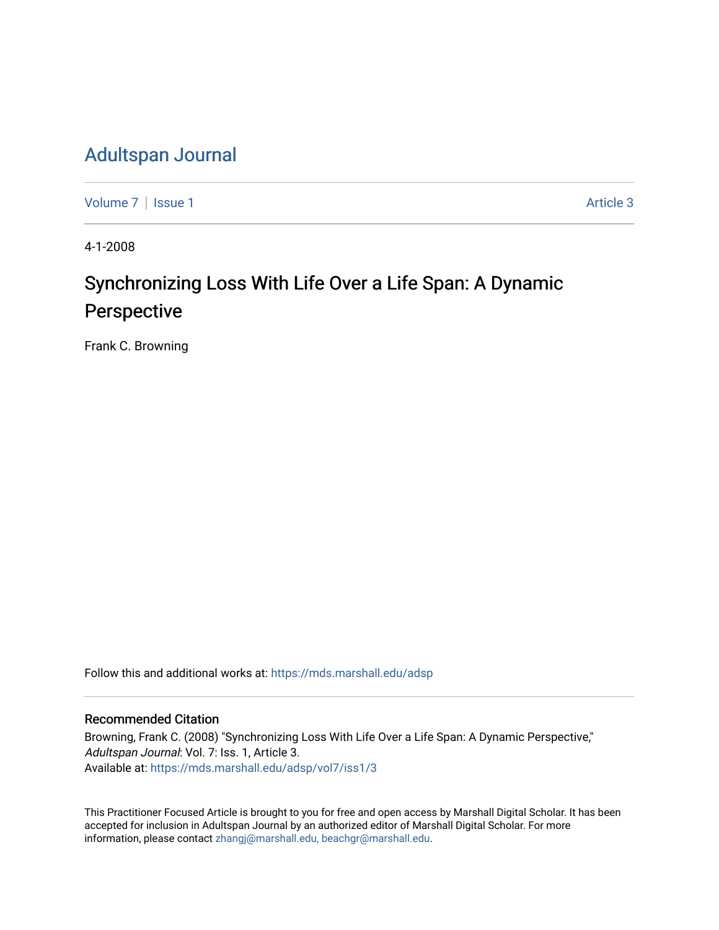### [Adultspan Journal](https://mds.marshall.edu/adsp)

[Volume 7](https://mds.marshall.edu/adsp/vol7) | [Issue 1](https://mds.marshall.edu/adsp/vol7/iss1) Article 3

4-1-2008

## Synchronizing Loss With Life Over a Life Span: A Dynamic Perspective

Frank C. Browning

Follow this and additional works at: [https://mds.marshall.edu/adsp](https://mds.marshall.edu/adsp?utm_source=mds.marshall.edu%2Fadsp%2Fvol7%2Fiss1%2F3&utm_medium=PDF&utm_campaign=PDFCoverPages) 

#### Recommended Citation

Browning, Frank C. (2008) "Synchronizing Loss With Life Over a Life Span: A Dynamic Perspective," Adultspan Journal: Vol. 7: Iss. 1, Article 3. Available at: [https://mds.marshall.edu/adsp/vol7/iss1/3](https://mds.marshall.edu/adsp/vol7/iss1/3?utm_source=mds.marshall.edu%2Fadsp%2Fvol7%2Fiss1%2F3&utm_medium=PDF&utm_campaign=PDFCoverPages)

This Practitioner Focused Article is brought to you for free and open access by Marshall Digital Scholar. It has been accepted for inclusion in Adultspan Journal by an authorized editor of Marshall Digital Scholar. For more information, please contact [zhangj@marshall.edu, beachgr@marshall.edu](mailto:zhangj@marshall.edu,%20beachgr@marshall.edu).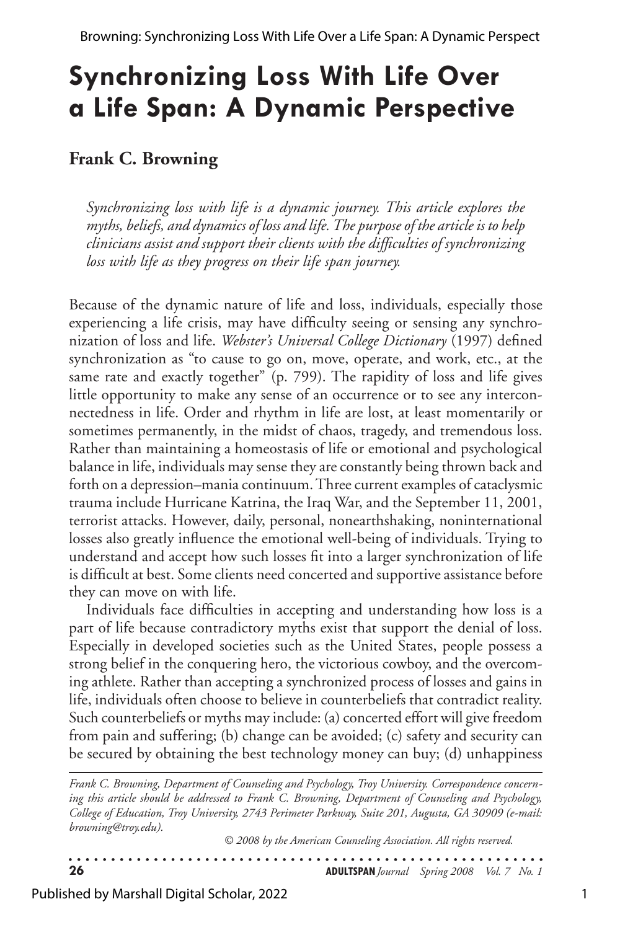# **Synchronizing Loss With Life Over a Life Span: A Dynamic Perspective**

### **Frank C. Browning**

*Synchronizing loss with life is a dynamic journey. This article explores the myths, beliefs, and dynamics of loss and life. The purpose of the article is to help clinicians assist and support their clients with the difficulties of synchronizing loss with life as they progress on their life span journey.*

Because of the dynamic nature of life and loss, individuals, especially those experiencing a life crisis, may have difficulty seeing or sensing any synchronization of loss and life. *Webster's Universal College Dictionary* (1997) defined synchronization as "to cause to go on, move, operate, and work, etc., at the same rate and exactly together" (p. 799). The rapidity of loss and life gives little opportunity to make any sense of an occurrence or to see any interconnectedness in life. Order and rhythm in life are lost, at least momentarily or sometimes permanently, in the midst of chaos, tragedy, and tremendous loss. Rather than maintaining a homeostasis of life or emotional and psychological balance in life, individuals may sense they are constantly being thrown back and forth on a depression–mania continuum. Three current examples of cataclysmic trauma include Hurricane Katrina, the Iraq War, and the September 11, 2001, terrorist attacks. However, daily, personal, nonearthshaking, noninternational losses also greatly influence the emotional well-being of individuals. Trying to understand and accept how such losses fit into a larger synchronization of life is difficult at best. Some clients need concerted and supportive assistance before they can move on with life.

Individuals face difficulties in accepting and understanding how loss is a part of life because contradictory myths exist that support the denial of loss. Especially in developed societies such as the United States, people possess a strong belief in the conquering hero, the victorious cowboy, and the overcoming athlete. Rather than accepting a synchronized process of losses and gains in life, individuals often choose to believe in counterbeliefs that contradict reality. Such counterbeliefs or myths may include: (a) concerted effort will give freedom from pain and suffering; (b) change can be avoided; (c) safety and security can be secured by obtaining the best technology money can buy; (d) unhappiness

*Frank C. Browning, Department of Counseling and Psychology, Troy University. Correspondence concerning this article should be addressed to Frank C. Browning, Department of Counseling and Psychology, College of Education, Troy University, 2743 Perimeter Parkway, Suite 201, Augusta, GA 30909 (e-mail: browning@troy.edu).*

| © 2008 by the American Counseling Association. All rights reserved. |  |  |
|---------------------------------------------------------------------|--|--|
|---------------------------------------------------------------------|--|--|

**26 ADULTSPAN***Journal Spring 2008 Vol. 7 No. 1*

Published by Marshall Digital Scholar, 2022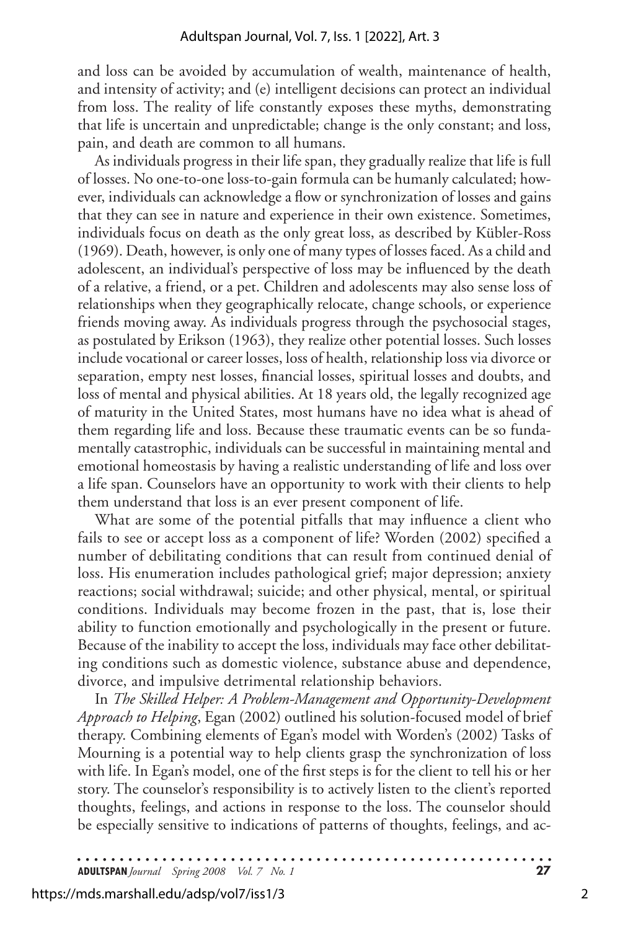and loss can be avoided by accumulation of wealth, maintenance of health, and intensity of activity; and (e) intelligent decisions can protect an individual from loss. The reality of life constantly exposes these myths, demonstrating that life is uncertain and unpredictable; change is the only constant; and loss, pain, and death are common to all humans.

As individuals progress in their life span, they gradually realize that life is full of losses. No one-to-one loss-to-gain formula can be humanly calculated; however, individuals can acknowledge a flow or synchronization of losses and gains that they can see in nature and experience in their own existence. Sometimes, individuals focus on death as the only great loss, as described by Kübler-Ross (1969). Death, however, is only one of many types of losses faced. As a child and adolescent, an individual's perspective of loss may be influenced by the death of a relative, a friend, or a pet. Children and adolescents may also sense loss of relationships when they geographically relocate, change schools, or experience friends moving away. As individuals progress through the psychosocial stages, as postulated by Erikson (1963), they realize other potential losses. Such losses include vocational or career losses, loss of health, relationship loss via divorce or separation, empty nest losses, financial losses, spiritual losses and doubts, and loss of mental and physical abilities. At 18 years old, the legally recognized age of maturity in the United States, most humans have no idea what is ahead of them regarding life and loss. Because these traumatic events can be so fundamentally catastrophic, individuals can be successful in maintaining mental and emotional homeostasis by having a realistic understanding of life and loss over a life span. Counselors have an opportunity to work with their clients to help them understand that loss is an ever present component of life.

What are some of the potential pitfalls that may influence a client who fails to see or accept loss as a component of life? Worden (2002) specified a number of debilitating conditions that can result from continued denial of loss. His enumeration includes pathological grief; major depression; anxiety reactions; social withdrawal; suicide; and other physical, mental, or spiritual conditions. Individuals may become frozen in the past, that is, lose their ability to function emotionally and psychologically in the present or future. Because of the inability to accept the loss, individuals may face other debilitating conditions such as domestic violence, substance abuse and dependence, divorce, and impulsive detrimental relationship behaviors.

In *The Skilled Helper: A Problem-Management and Opportunity-Development Approach to Helping*, Egan (2002) outlined his solution-focused model of brief therapy. Combining elements of Egan's model with Worden's (2002) Tasks of Mourning is a potential way to help clients grasp the synchronization of loss with life. In Egan's model, one of the first steps is for the client to tell his or her story. The counselor's responsibility is to actively listen to the client's reported thoughts, feelings, and actions in response to the loss. The counselor should be especially sensitive to indications of patterns of thoughts, feelings, and ac-

**ADULTSPAN***Journal Spring 2008 Vol. 7 No. 1* **27**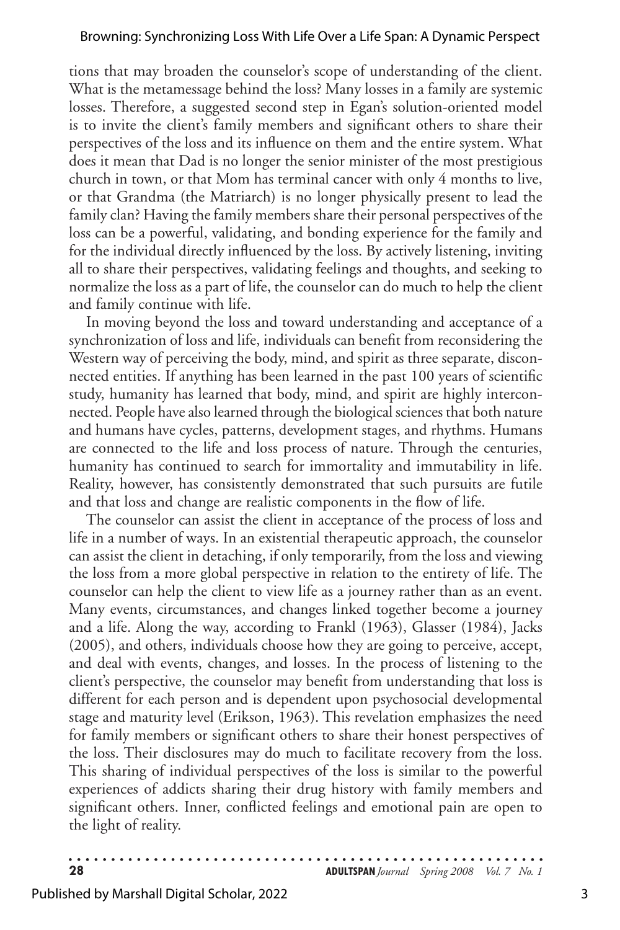#### Browning: Synchronizing Loss With Life Over a Life Span: A Dynamic Perspect

tions that may broaden the counselor's scope of understanding of the client. What is the metamessage behind the loss? Many losses in a family are systemic losses. Therefore, a suggested second step in Egan's solution-oriented model is to invite the client's family members and significant others to share their perspectives of the loss and its influence on them and the entire system. What does it mean that Dad is no longer the senior minister of the most prestigious church in town, or that Mom has terminal cancer with only 4 months to live, or that Grandma (the Matriarch) is no longer physically present to lead the family clan? Having the family members share their personal perspectives of the loss can be a powerful, validating, and bonding experience for the family and for the individual directly influenced by the loss. By actively listening, inviting all to share their perspectives, validating feelings and thoughts, and seeking to normalize the loss as a part of life, the counselor can do much to help the client and family continue with life.

In moving beyond the loss and toward understanding and acceptance of a synchronization of loss and life, individuals can benefit from reconsidering the Western way of perceiving the body, mind, and spirit as three separate, disconnected entities. If anything has been learned in the past 100 years of scientific study, humanity has learned that body, mind, and spirit are highly interconnected. People have also learned through the biological sciences that both nature and humans have cycles, patterns, development stages, and rhythms. Humans are connected to the life and loss process of nature. Through the centuries, humanity has continued to search for immortality and immutability in life. Reality, however, has consistently demonstrated that such pursuits are futile and that loss and change are realistic components in the flow of life.

The counselor can assist the client in acceptance of the process of loss and life in a number of ways. In an existential therapeutic approach, the counselor can assist the client in detaching, if only temporarily, from the loss and viewing the loss from a more global perspective in relation to the entirety of life. The counselor can help the client to view life as a journey rather than as an event. Many events, circumstances, and changes linked together become a journey and a life. Along the way, according to Frankl (1963), Glasser (1984), Jacks (2005), and others, individuals choose how they are going to perceive, accept, and deal with events, changes, and losses. In the process of listening to the client's perspective, the counselor may benefit from understanding that loss is different for each person and is dependent upon psychosocial developmental stage and maturity level (Erikson, 1963). This revelation emphasizes the need for family members or significant others to share their honest perspectives of the loss. Their disclosures may do much to facilitate recovery from the loss. This sharing of individual perspectives of the loss is similar to the powerful experiences of addicts sharing their drug history with family members and significant others. Inner, conflicted feelings and emotional pain are open to the light of reality.

**28 ADULTSPAN***Journal Spring 2008 Vol. 7 No. 1*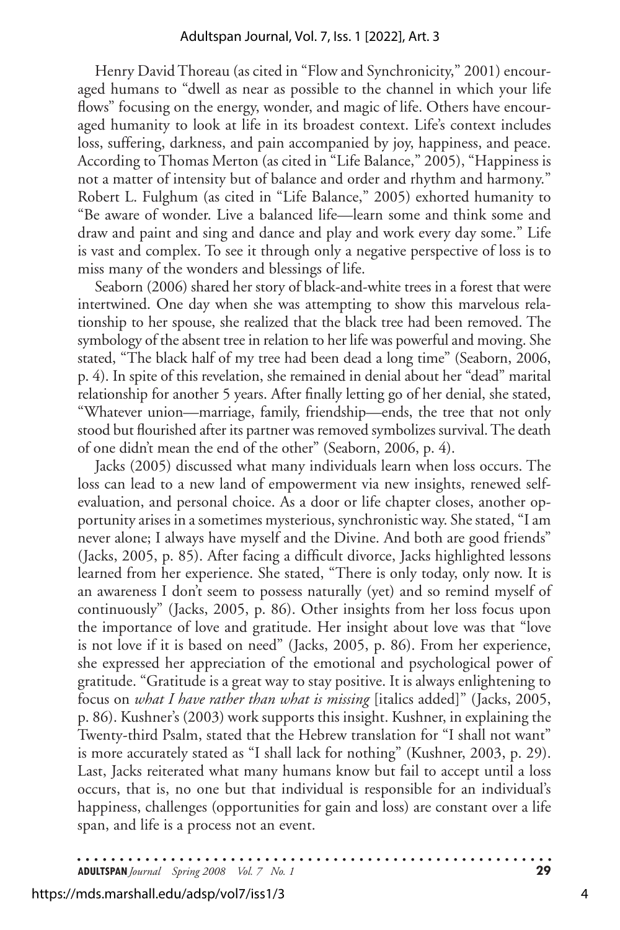Henry DavidThoreau (as cited in "Flow and Synchronicity," 2001) encouraged humans to "dwell as near as possible to the channel in which your life flows" focusing on the energy, wonder, and magic of life. Others have encouraged humanity to look at life in its broadest context. Life's context includes loss, suffering, darkness, and pain accompanied by joy, happiness, and peace. According to Thomas Merton (as cited in "Life Balance," 2005), "Happiness is not a matter of intensity but of balance and order and rhythm and harmony." Robert L. Fulghum (as cited in "Life Balance," 2005) exhorted humanity to "Be aware of wonder. Live a balanced life—learn some and think some and draw and paint and sing and dance and play and work every day some." Life is vast and complex. To see it through only a negative perspective of loss is to miss many of the wonders and blessings of life.

Seaborn (2006) shared her story of black-and-white trees in a forest that were intertwined. One day when she was attempting to show this marvelous relationship to her spouse, she realized that the black tree had been removed. The symbology of the absent tree in relation to her life was powerful and moving. She stated, "The black half of my tree had been dead a long time" (Seaborn, 2006, p. 4). In spite of this revelation, she remained in denial about her "dead" marital relationship for another 5 years. After finally letting go of her denial, she stated, "Whatever union—marriage, family, friendship—ends, the tree that not only stood but flourished after its partner was removed symbolizes survival.The death of one didn't mean the end of the other" (Seaborn, 2006, p. 4).

Jacks (2005) discussed what many individuals learn when loss occurs. The loss can lead to a new land of empowerment via new insights, renewed selfevaluation, and personal choice. As a door or life chapter closes, another opportunity arises in a sometimes mysterious, synchronistic way. Shestated, "I am never alone; I always have myself and the Divine. And both are good friends" (Jacks, 2005, p. 85). After facing a difficult divorce, Jacks highlighted lessons learned from her experience. She stated, "There is only today, only now. It is an awareness I don't seem to possess naturally (yet) and so remind myself of continuously" (Jacks, 2005, p. 86). Other insights from her loss focus upon the importance of love and gratitude. Her insight about love was that "love is not love if it is based on need" (Jacks, 2005, p. 86). From her experience, she expressed her appreciation of the emotional and psychological power of gratitude. "Gratitude is a great way to stay positive. It is always enlightening to focus on *what I have rather than what is missing* [italics added]" (Jacks, 2005, p. 86). Kushner's (2003) work supports this insight. Kushner, in explaining the Twenty-third Psalm, stated that the Hebrew translation for "I shall not want" is more accurately stated as "I shall lack for nothing" (Kushner, 2003, p. 29). Last, Jacks reiterated what many humans know but fail to accept until a loss occurs, that is, no one but that individual is responsible for an individual's happiness, challenges (opportunities for gain and loss) are constant over a life span, and life is a process not an event.

**ADULTSPAN***Journal Spring 2008 Vol. 7 No. 1* **29**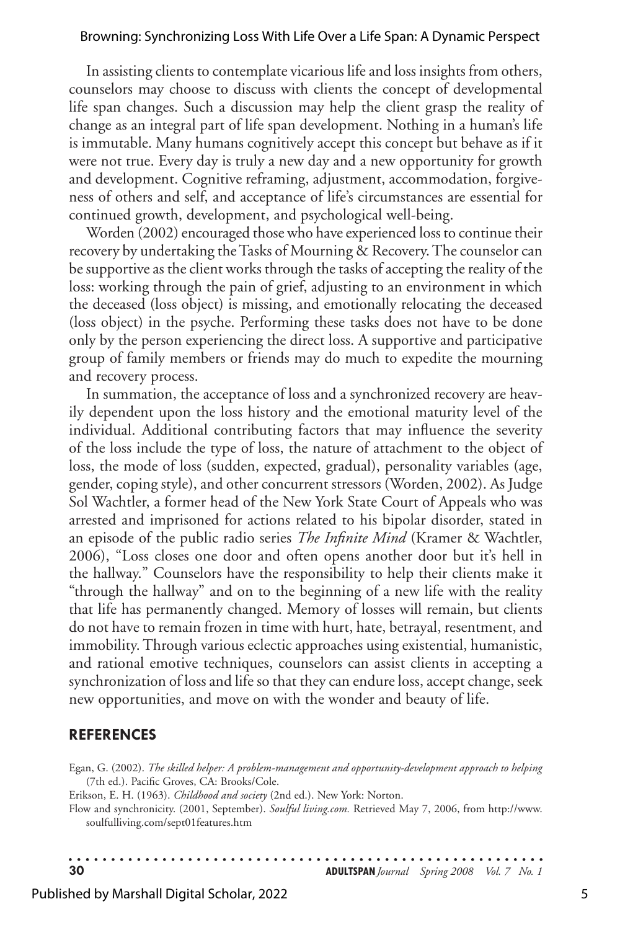#### Browning: Synchronizing Loss With Life Over a Life Span: A Dynamic Perspect

In assisting clients to contemplate vicarious life and loss insights from others, counselors may choose to discuss with clients the concept of developmental life span changes. Such a discussion may help the client grasp the reality of change as an integral part of life span development. Nothing in a human's life is immutable. Many humans cognitively accept this concept but behave as if it were not true. Every day is truly a new day and a new opportunity for growth and development. Cognitive reframing, adjustment, accommodation, forgiveness of others and self, and acceptance of life's circumstances are essential for continued growth, development, and psychological well-being.

Worden (2002) encouraged those who have experienced loss to continue their recovery by undertaking the Tasks of Mourning & Recovery. The counselor can be supportive as the client works through the tasks of accepting the reality of the loss: working through the pain of grief, adjusting to an environment in which the deceased (loss object) is missing, and emotionally relocating the deceased (loss object) in the psyche. Performing these tasks does not have to be done only by the person experiencing the direct loss. A supportive and participative group of family members or friends may do much to expedite the mourning and recovery process.

In summation, the acceptance of loss and a synchronized recovery are heavily dependent upon the loss history and the emotional maturity level of the individual. Additional contributing factors that may influence the severity of the loss include the type of loss, the nature of attachment to the object of loss, the mode of loss (sudden, expected, gradual), personality variables (age, gender, coping style), and other concurrent stressors (Worden, 2002). As Judge Sol Wachtler, a former head of the New York State Court of Appeals who was arrested and imprisoned for actions related to his bipolar disorder, stated in an episode of the public radio series *The Infinite Mind* (Kramer & Wachtler, 2006), "Loss closes one door and often opens another door but it's hell in the hallway." Counselors have the responsibility to help their clients make it "through the hallway" and on to the beginning of a new life with the reality that life has permanently changed. Memory of losses will remain, but clients do not have to remain frozen in time with hurt, hate, betrayal, resentment, and immobility.Through various eclectic approaches using existential, humanistic, and rational emotive techniques, counselors can assist clients in accepting a synchronization of loss and life so that they can endure loss, accept change, seek new opportunities, and move on with the wonder and beauty of life.

#### **References**

Egan, G. (2002). *The skilled helper: A problem-management and opportunity-development approach to helping* (7th ed.). Pacific Groves, CA: Brooks/Cole. Erikson, E. H. (1963). *Childhood and society* (2nd ed.). New York: Norton. Flow and synchronicity. (2001, September). *Soulful living.com.* Retrieved May 7, 2006, from http://www. soulfulliving.com/sept01features.htm

. . . . . . . . . . . . . . . . . . . **30 ADULTSPAN***Journal Spring 2008 Vol. 7 No. 1* 

#### Published by Marshall Digital Scholar, 2022